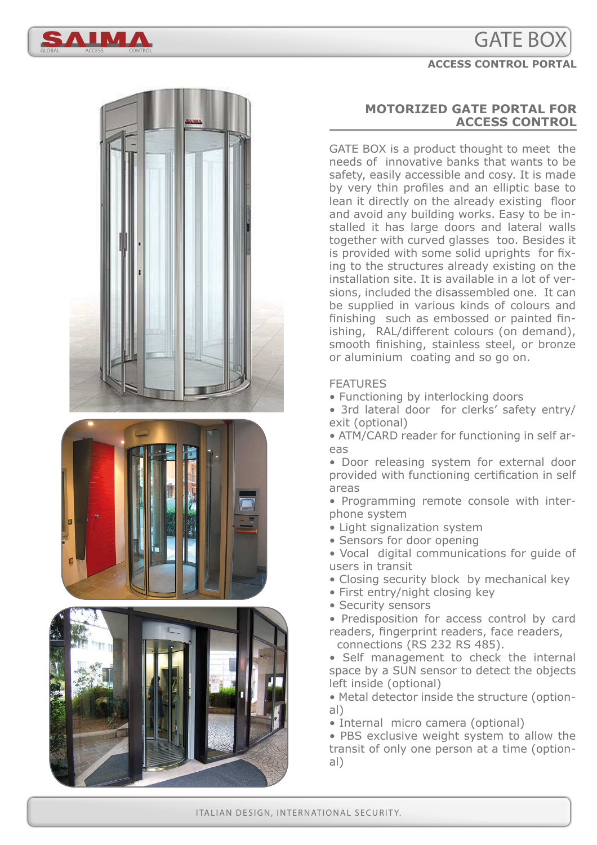# GATE BOX











### **MOTORIZED GATE PORTAL FOR ACCESS CONTROL**

GATE BOX is a product thought to meet the needs of innovative banks that wants to be safety, easily accessible and cosy. It is made by very thin profiles and an elliptic base to lean it directly on the already existing floor and avoid any building works. Easy to be installed it has large doors and lateral walls together with curved glasses too. Besides it is provided with some solid uprights for fixing to the structures already existing on the installation site. It is available in a lot of versions, included the disassembled one. It can be supplied in various kinds of colours and finishing such as embossed or painted finishing, RAL/different colours (on demand), smooth finishing, stainless steel, or bronze or aluminium coating and so go on.

#### FEATURES

- Functioning by interlocking doors
- 3rd lateral door for clerks' safety entry/ exit (optional)
- ATM/CARD reader for functioning in self areas
- Door releasing system for external door provided with functioning certification in self areas
- Programming remote console with interphone system
- Light signalization system
- Sensors for door opening
- Vocal digital communications for guide of users in transit
- Closing security block by mechanical key
- First entry/night closing key
- Security sensors
- Predisposition for access control by card readers, fingerprint readers, face readers, connections (RS 232 RS 485).
- Self management to check the internal space by a SUN sensor to detect the objects left inside (optional)
- Metal detector inside the structure (optional)
- Internal micro camera (optional)
- PBS exclusive weight system to allow the transit of only one person at a time (optional)